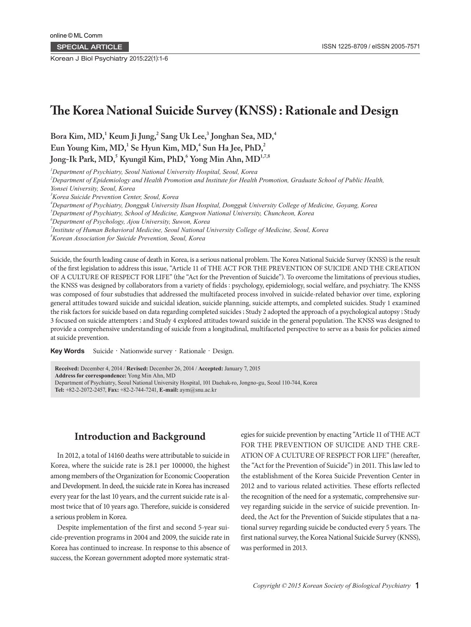SPECIAL ARTICLE

Korean J Biol Psychiatry 2015;22(1):1-6

# **The Korea National Suicide Survey (KNSS) : Rationale and Design**

 $\rm{Bora\ Kim},\rm{MD,^1\ Keum\ Ji\ Jung,^2\ Sang\ Uk\ Lee,^3\ Jonghan\ Sea,MD,^4$ Eun Young Kim, MD,<sup>1</sup> Se Hyun Kim, MD,<sup>4</sup> Sun Ha Jee, PhD,<sup>2</sup>  $\bm{\mathrm{Jong\text{-}Ik\, Park, MD,^S\, Kyungil\, Kim, PhD,^6\, Yong\, Min\, Ahn, MD^{17,78}}$ 

*1 Department of Psychiatry, Seoul National University Hospital, Seoul, Korea*

*2 Department of Epidemiology and Health Promotion and Institute for Health Promotion, Graduate School of Public Health,* 

*Yonsei University, Seoul, Korea*

*3 Korea Suicide Prevention Center, Seoul, Korea*

*4 Department of Psychiatry, Dongguk University Ilsan Hospital, Dongguk University College of Medicine, Goyang, Korea*

*5 Department of Psychiatry, School of Medicine, Kangwon National University, Chuncheon, Korea*

*6 Department of Psychology, Ajou University, Suwon, Korea*

*7 Institute of Human Behavioral Medicine, Seoul National University College of Medicine, Seoul, Korea*

*8 Korean Association for Suicide Prevention, Seoul, Korea*

Suicide, the fourth leading cause of death in Korea, is a serious national problem. The Korea National Suicide Survey (KNSS) is the result of the first legislation to address this issue, "Article 11 of THE ACT FOR THE PREVENTION OF SUICIDE AND THE CREATION OF A CULTURE OF RESPECT FOR LIFE" (the "Act for the Prevention of Suicide"). To overcome the limitations of previous studies, the KNSS was designed by collaborators from a variety of fields : psychology, epidemiology, social welfare, and psychiatry. The KNSS was composed of four substudies that addressed the multifaceted process involved in suicide-related behavior over time, exploring general attitudes toward suicide and suicidal ideation, suicide planning, suicide attempts, and completed suicides. Study 1 examined the risk factors for suicide based on data regarding completed suicides ; Study 2 adopted the approach of a psychological autopsy ; Study 3 focused on suicide attempters ; and Study 4 explored attitudes toward suicide in the general population. The KNSS was designed to provide a comprehensive understanding of suicide from a longitudinal, multifaceted perspective to serve as a basis for policies aimed at suicide prevention.

Key Words Suicide · Nationwide survey · Rationale · Design.

**Received:** December 4, 2014 / **Revised:** December 26, 2014 / **Accepted:** January 7, 2015 **Address for correspondence:** Yong Min Ahn, MD Department of Psychiatry, Seoul National University Hospital, 101 Daehak-ro, Jongno-gu, Seoul 110-744, Korea **Tel:** +82-2-2072-2457, **Fax:** +82-2-744-7241, **E-mail:** aym@snu.ac.kr

## **Introduction and Background**

In 2012, a total of 14160 deaths were attributable to suicide in Korea, where the suicide rate is 28.1 per 100000, the highest among members of the Organization for Economic Cooperation and Development. In deed, the suicide rate in Korea has increased every year for the last 10 years, and the current suicide rate is almost twice that of 10 years ago. Therefore, suicide is considered a serious problem in Korea.

Despite implementation of the first and second 5-year suicide-prevention programs in 2004 and 2009, the suicide rate in Korea has continued to increase. In response to this absence of success, the Korean government adopted more systematic strategies for suicide prevention by enacting "Article 11 of THE ACT FOR THE PREVENTION OF SUICIDE AND THE CRE-ATION OF A CULTURE OF RESPECT FOR LIFE" (hereafter, the "Act for the Prevention of Suicide") in 2011. This law led to the establishment of the Korea Suicide Prevention Center in 2012 and to various related activities. These efforts reflected the recognition of the need for a systematic, comprehensive survey regarding suicide in the service of suicide prevention. Indeed, the Act for the Prevention of Suicide stipulates that a national survey regarding suicide be conducted every 5 years. The first national survey, the Korea National Suicide Survey (KNSS), was performed in 2013.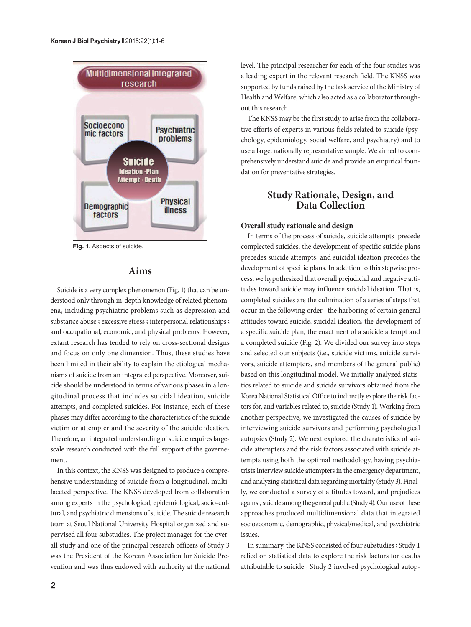

**Fig. 1.** Aspects of suicide.

## **Aims**

Suicide is a very complex phenomenon (Fig. 1) that can be understood only through in-depth knowledge of related phenomena, including psychiatric problems such as depression and substance abuse ; excessive stress ; interpersonal relationships ; and occupational, economic, and physical problems. However, extant research has tended to rely on cross-sectional designs and focus on only one dimension. Thus, these studies have been limited in their ability to explain the etiological mechanisms of suicide from an integrated perspective. Moreover, suicide should be understood in terms of various phases in a longitudinal process that includes suicidal ideation, suicide attempts, and completed suicides. For instance, each of these phases may differ according to the characteristics of the suicide victim or attempter and the severity of the suicide ideation. Therefore, an integrated understanding of suicide requires largescale research conducted with the full support of the governement.

In this context, the KNSS was designed to produce a comprehensive understanding of suicide from a longitudinal, multifaceted perspective. The KNSS developed from collaboration among experts in the psychological, epidemiological, socio-cultural, and psychiatric dimensions of suicide. The suicide research team at Seoul National University Hospital organized and supervised all four substudies. The project manager for the overall study and one of the principal research officers of Study 3 was the President of the Korean Association for Suicide Prevention and was thus endowed with authority at the national level. The principal researcher for each of the four studies was a leading expert in the relevant research field. The KNSS was supported by funds raised by the task service of the Ministry of Health and Welfare, which also acted as a collaborator throughout this research.

The KNSS may be the first study to arise from the collaborative efforts of experts in various fields related to suicide (psychology, epidemiology, social welfare, and psychiatry) and to use a large, nationally representative sample. We aimed to comprehensively understand suicide and provide an empirical foundation for preventative strategies.

## **Study Rationale, Design, and Data Collection**

### **Overall study rationale and design**

In terms of the process of suicide, suicide attempts precede complected suicides, the development of specific suicide plans precedes suicide attempts, and suicidal ideation precedes the development of specific plans. In addition to this stepwise process, we hypothesized that overall prejudicial and negative attitudes toward suicide may influence suicidal ideation. That is, completed suicides are the culmination of a series of steps that occur in the following order : the harboring of certain general attitudes toward suicide, suicidal ideation, the development of a specific suicide plan, the enactment of a suicide attempt and a completed suicide (Fig. 2). We divided our survey into steps and selected our subjects (i.e., suicide victims, suicide survivors, suicide attempters, and members of the general public) based on this longitudinal model. We initially analyzed statistics related to suicide and suicide survivors obtained from the Korea National Statistical Office to indirectly explore the risk factors for, and variables related to, suicide (Study 1). Working from another perspective, we investigated the causes of suicide by interviewing suicide survivors and performing psychological autopsies (Study 2). We next explored the charateristics of suicide attempters and the risk factors associated with suicide attempts using both the optimal methodology, having psychiatrists interview suicide attempters in the emergency department, and analyzing statistical data regarding mortality (Study 3). Finally, we conducted a survey of attitudes toward, and prejudices against, suicide among the general public (Study 4). Our use of these approaches produced multidimensional data that integrated socioeconomic, demographic, physical/medical, and psychiatric issues.

In summary, the KNSS consisted of four substudies : Study 1 relied on statistical data to explore the risk factors for deaths attributable to suicide ; Study 2 involved psychological autop-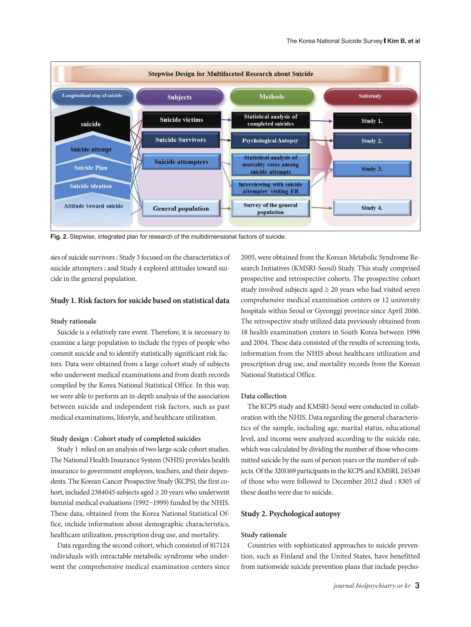

**Fig. 2.** Stepwise, integrated plan for research of the multidimensional factors of suicide.

sies of suicide survivors ; Study 3 focused on the characteristics of suicide attempters ; and Study 4 explored attitudes toward suicide in the general population.

#### **Study 1. Risk factors for suicide based on statistical data**

#### **Study rationale**

Suicide is a relatively rare event. Therefore, it is necessary to examine a large population to include the types of people who commit suicide and to identify statistically significant risk factors. Data were obtained from a large cohort study of subjects who underwent medical examinations and from death records compiled by the Korea National Statistical Office. In this way, we were able to perform an in-depth analysis of the association between suicide and independent risk factors, such as past medical examinations, lifestyle, and healthcare utilization.

#### **Study design : Cohort study of completed suicides**

Study 1 relied on an analysis of two large-scale cohort studies. The National Health Insurance System (NHIS) provides health insurance to government employees, teachers, and their dependents. The Korean Cancer Prospective Study (KCPS), the first cohort, included 2384045 subjects aged ≥ 20 years who underwent biennial medical evaluations (1992-1999) funded by the NHIS. These data, obtained from the Korea National Statistical Office, include information about demographic characteristics, healthcare utilization, prescription drug use, and mortality.

Data regarding the second cohort, which consisted of 817124 individuals with intractable metabolic syndrome who underwent the comprehensive medical examination centers since

2005, were obtained from the Korean Metabolic Syndrome Research Initiatives (KMSRI-Seoul) Study. This study comprised prospective and retrospective cohorts. The prospective cohort study involved subjects aged  $\geq 20$  years who had visited seven comprehensive medical examination centers or 12 university hospitals within Seoul or Gyeonggi province since April 2006. The retrospective study utilized data previously obtained from 18 health examination centers in South Korea between 1996 and 2004. These data consisted of the results of screening tests, information from the NHIS about healthcare utilization and prescription drug use, and mortality records from the Korean National Statistical Office.

### **Data collection**

The KCPS study and KMSRI-Seoul were conducted in collaboration with the NHIS. Data regarding the general characteristics of the sample, including age, marital status, educational level, and income were analyzed according to the suicide rate, which was calculated by dividing the number of those who committed suicide by the sum of person years or the number of subjects. Of the 3201169 participants in the KCPS and KMSRI, 245349 of those who were followed to December 2012 died ; 8305 of these deaths were due to suicide.

### **Study 2. Psychological autopsy**

#### **Study rationale**

Countries with sophisticated approaches to suicide prevention, such as Finland and the United States, have benefitted from nationwide suicide prevention plans that include psycho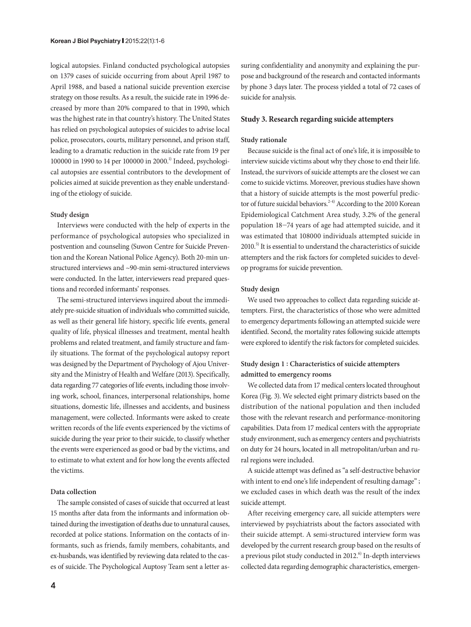logical autopsies. Finland conducted psychological autopsies on 1379 cases of suicide occurring from about April 1987 to April 1988, and based a national suicide prevention exercise strategy on those results. As a result, the suicide rate in 1996 decreased by more than 20% compared to that in 1990, which was the highest rate in that country's history. The United States has relied on psychological autopsies of suicides to advise local police, prosecutors, courts, military personnel, and prison staff, leading to a dramatic reduction in the suicide rate from 19 per 100000 in 1990 to 14 per 100000 in 2000.1) Indeed, psychological autopsies are essential contributors to the development of policies aimed at suicide prevention as they enable understanding of the etiology of suicide.

#### **Study design**

Interviews were conducted with the help of experts in the performance of psychological autopsies who specialized in postvention and counseling (Suwon Centre for Suicide Prevention and the Korean National Police Agency). Both 20-min unstructured interviews and ~90-min semi-structured interviews were conducted. In the latter, interviewers read prepared questions and recorded informants' responses.

The semi-structured interviews inquired about the immediately pre-suicide situation of individuals who committed suicide, as well as their general life history, specific life events, general quality of life, physical illnesses and treatment, mental health problems and related treatment, and family structure and family situations. The format of the psychological autopsy report was designed by the Department of Psychology of Ajou University and the Ministry of Health and Welfare (2013). Specifically, data regarding 77 categories of life events, including those involving work, school, finances, interpersonal relationships, home situations, domestic life, illnesses and accidents, and business management, were collected. Informants were asked to create written records of the life events experienced by the victims of suicide during the year prior to their suicide, to classify whether the events were experienced as good or bad by the victims, and to estimate to what extent and for how long the events affected the victims.

#### **Data collection**

The sample consisted of cases of suicide that occurred at least 15 months after data from the informants and information obtained during the investigation of deaths due to unnatural causes, recorded at police stations. Information on the contacts of informants, such as friends, family members, cohabitants, and ex-husbands, was identified by reviewing data related to the cases of suicide. The Psychological Auptosy Team sent a letter assuring confidentiality and anonymity and explaining the purpose and background of the research and contacted informants by phone 3 days later. The process yielded a total of 72 cases of suicide for analysis.

### **Study 3. Research regarding suicide attempters**

### **Study rationale**

Because suicide is the final act of one's life, it is impossible to interview suicide victims about why they chose to end their life. Instead, the survivors of suicide attempts are the closest we can come to suicide victims. Moreover, previous studies have shown that a history of suicide attempts is the most powerful predictor of future suicidal behaviors.<sup>2-4)</sup> According to the 2010 Korean Epidemiological Catchment Area study, 3.2% of the general population 18-74 years of age had attempted suicide, and it was estimated that 108000 individuals attempted suicide in  $2010<sup>5</sup>$  It is essential to understand the characteristics of suicide attempters and the risk factors for completed suicides to develop programs for suicide prevention.

#### **Study design**

We used two approaches to collect data regarding suicide attempters. First, the characteristics of those who were admitted to emergency departments following an attempted suicide were identified. Second, the mortality rates following suicide attempts were explored to identify the risk factors for completed suicides.

## **Study design 1 : Characteristics of suicide attempters admitted to emergency rooms**

We collected data from 17 medical centers located throughout Korea (Fig. 3). We selected eight primary districts based on the distribution of the national population and then included those with the relevant research and performance-monitoring capabilities. Data from 17 medical centers with the appropriate study environment, such as emergency centers and psychiatrists on duty for 24 hours, located in all metropolitan/urban and rural regions were included.

A suicide attempt was defined as "a self-destructive behavior with intent to end one's life independent of resulting damage" ; we excluded cases in which death was the result of the index suicide attempt.

After receiving emergency care, all suicide attempters were interviewed by psychiatrists about the factors associated with their suicide attempt. A semi-structured interview form was developed by the current research group based on the results of a previous pilot study conducted in 2012.<sup>6)</sup> In-depth interviews collected data regarding demographic characteristics, emergen-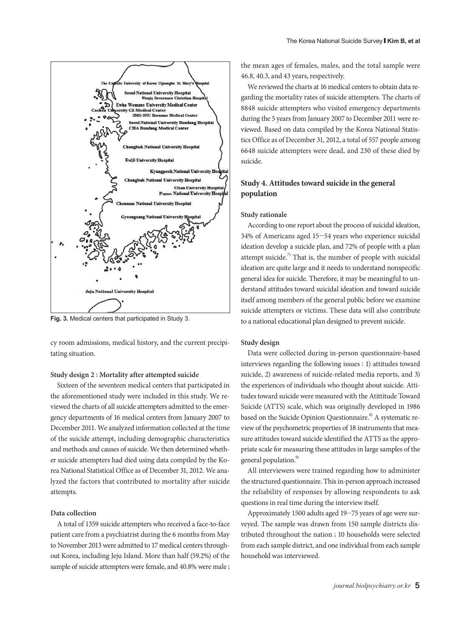

**Fig. 3.** Medical centers that participated in Study 3.

cy room admissions, medical history, and the current precipitating situation.

#### **Study design 2 : Mortality after attempted suicide**

Sixteen of the seventeen medical centers that participated in the aforementioned study were included in this study. We reviewed the charts of all suicide attempters admitted to the emergency departments of 16 medical centers from January 2007 to December 2011. We analyzed information collected at the time of the suicide attempt, including demographic characteristics and methods and causes of suicide. We then determined whether suicide attempters had died using data compiled by the Korea National Statistical Office as of December 31, 2012. We analyzed the factors that contributed to mortality after suicide attempts.

### **Data collection**

A total of 1359 suicide attempters who received a face-to-face patient care from a psychiatrist during the 6 months from May to November 2013 were admitted to 17 medical centers throughout Korea, including Jeju Island. More than half (59.2%) of the sample of suicide attempters were female, and 40.8% were male ;

the mean ages of females, males, and the total sample were 46.8, 40.3, and 43 years, respectively.

We reviewed the charts at 16 medical centers to obtain data regarding the mortality rates of suicide attempters. The charts of 8848 suicide attempters who visited emergency departments during the 5 years from January 2007 to December 2011 were reviewed. Based on data compiled by the Korea National Statistics Office as of December 31, 2012, a total of 557 people among 6648 suicide attempters were dead, and 230 of these died by suicide.

## **Study 4. Attitudes toward suicide in the general population**

#### **Study rationale**

According to one report about the process of suicidal ideation, 34% of Americans aged 15-54 years who experience suicidal ideation develop a suicide plan, and 72% of people with a plan attempt suicide.<sup>7)</sup> That is, the number of people with suicidal ideation are quite large and it needs to understand nonspecific general idea for suicide. Therefore, it may be meaningful to understand attitudes toward suicidal ideation and toward suicide itself among members of the general public before we examine suicide attempters or victims. These data will also contribute to a national educational plan designed to prevent suicide.

### **Study design**

Data were collected during in-person questionnaire-based interviews regarding the following issues : 1) attitudes toward suicide, 2) awareness of suicide-related media reports, and 3) the experiences of individuals who thought about suicide. Attitudes toward suicide were measured with the Atittitude Toward Suicide (ATTS) scale, which was originally developed in 1986 based on the Suicide Opinion Questionnaire.<sup>8)</sup> A systematic review of the psychometric properties of 18 instruments that measure attitudes toward suicide identified the ATTS as the appropriate scale for measuring these attitudes in large samples of the general population.<sup>9)</sup>

All interviewers were trained regarding how to administer the structured questionnaire. This in-person approach increased the reliability of responses by allowing respondents to ask questions in real time during the interview itself.

Approximately 1500 adults aged 19-75 years of age were surveyed. The sample was drawn from 150 sample districts distributed throughout the nation ; 10 households were selected from each sample district, and one individual from each sample household was interviewed.